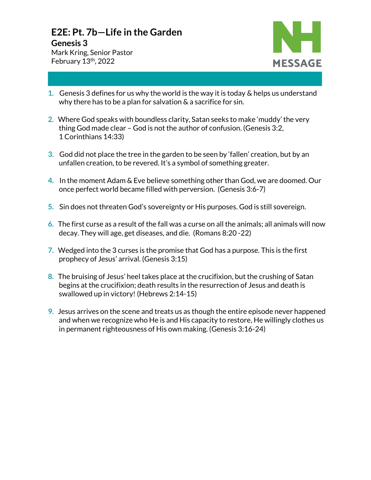## **E2E: Pt. 7b—Life in the Garden**

## **Genesis 3**

Mark Kring, Senior Pastor February 13th, 2022



- **1.** Genesis 3 defines for us why the world is the way it is today & helps us understand why there has to be a plan for salvation & a sacrifice for sin.
- **2.** Where God speaks with boundless clarity, Satan seeks to make 'muddy' the very thing God made clear – God is not the author of confusion. (Genesis 3:2, 1 Corinthians 14:33)
- **3.** God did not place the tree in the garden to be seen by 'fallen' creation, but by an unfallen creation, to be revered. It's a symbol of something greater.
- **4.** In the moment Adam & Eve believe something other than God, we are doomed. Our once perfect world became filled with perversion. (Genesis 3:6-7)
- **5.** Sin does not threaten God's sovereignty or His purposes. God is still sovereign.
- **6.** The first curse as a result of the fall was a curse on all the animals; all animals will now decay. They will age, get diseases, and die. (Romans 8:20 -22)
- **7.** Wedged into the 3 curses is the promise that God has a purpose. This is the first prophecy of Jesus' arrival. (Genesis 3:15)
- **8.** The bruising of Jesus' heel takes place at the crucifixion, but the crushing of Satan begins at the crucifixion; death results in the resurrection of Jesus and death is swallowed up in victory! (Hebrews 2:14-15)
- **9.** Jesus arrives on the scene and treats us as though the entire episode never happened and when we recognize who He is and His capacity to restore, He willingly clothes us in permanent righteousness of His own making. (Genesis 3:16-24)